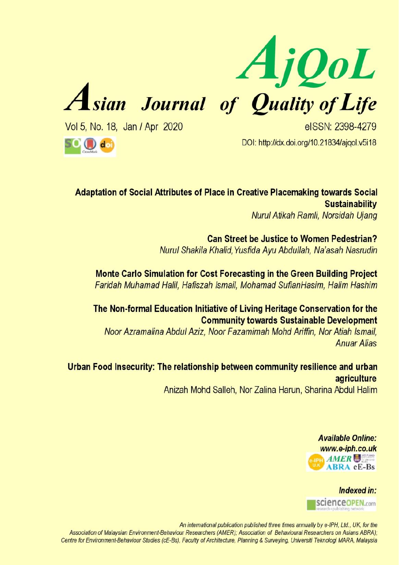



Vol 5, No. 18, Jan / Apr 2020

eISSN: 2398-4279 DOI: http://dx.doi.org/10.21834/ajqol.v5i18

**SCO** dat

Adaptation of Social Attributes of Place in Creative Placemaking towards Social **Sustainability** 

Nurul Atikah Ramli, Norsidah Ujang

**Can Street be Justice to Women Pedestrian?** Nurul Shakila Khalid, Yusfida Avu Abdullah, Na'asah Nasrudin

Monte Carlo Simulation for Cost Forecasting in the Green Building Project Faridah Muhamad Halil, Hafiszah Ismail, Mohamad SufianHasim, Halim Hashim

The Non-formal Education Initiative of Living Heritage Conservation for the **Community towards Sustainable Development** 

Noor Azramalina Abdul Aziz, Noor Fazamimah Mohd Ariffin, Nor Atiah Ismail. **Anuar Alias** 

Urban Food Insecurity: The relationship between community resilience and urban agriculture Anizah Mohd Salleh, Nor Zalina Harun, Sharina Abdul Halim

> **Available Online:** www.e-iph.co.uk **AMER ABRA** eE-Bs

Indexed in: scienceopEN.com

An international publication published three times annually by e-IPH, Ltd., UK, for the Association of Malaysian Environment-Behaviour Researchers (AMER): Association of Behavioural Researchers on Asians ABRA); Centre for Environment-Behaviour Studies (cE-Bs), Faculty of Architecture, Planning & Surveying, Universiti Teknologi MARA, Malaysia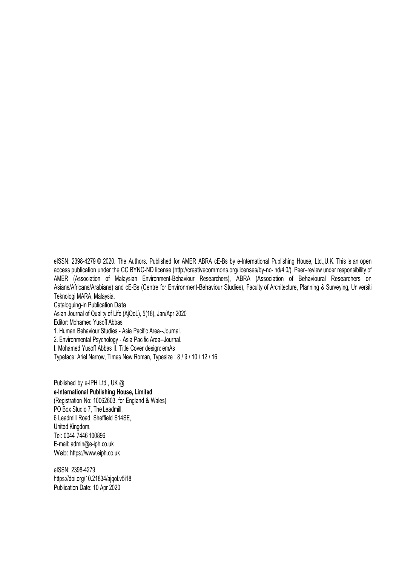eISSN: 2398-4279 © 2020. The Authors. Published for AMER ABRA cE-Bs by e-International Publishing House, Ltd.,U.K. This is an open access publication under the CC BYNC-ND licens[e \(http://creativecommons.org/licenses/by-nc-](http://creativecommons.org/licenses/by-nc-nd/4.0/)) [nd/4.0/\). P](http://creativecommons.org/licenses/by-nc-nd/4.0/))eer–review under responsibility of AMER (Association of Malaysian Environment-Behaviour Researchers), ABRA (Association of Behavioural Researchers on Asians/Africans/Arabians) and cE-Bs (Centre for Environment-Behaviour Studies), Faculty of Architecture, Planning & Surveying, Universiti Teknologi MARA, Malaysia.

Cataloguing-in Publication Data Asian Journal of Quality of Life (AjQoL), 5(18), Jan/Apr 2020 Editor: Mohamed Yusoff Abbas 1. Human Behaviour Studies - Asia Pacific Area--Journal. 2. Environmental Psychology - Asia Pacific Area--Journal. I. Mohamed Yusoff Abbas II. Title Cover design: emAs

Typeface: Ariel Narrow, Times New Roman, Typesize : 8 / 9 / 10 / 12 / 16

Published by e-IPH Ltd., UK @ **e-International Publishing House, Limited** (Registration No: 10062603, for England & Wales) PO Box Studio 7, The Leadmill, 6 Leadmill Road, Sheffield S14SE, United Kingdom. Tel: 0044 7446 100896 E-mail: [admin@e-iph.co.uk](mailto:admin@e-iph.co.uk) Web: http[s://www.eiph.co.uk](http://www.e-iph.co.uk/)

eISSN: 2398-4279 https://doi.org/10.21834/ajgol.v5i18 Publication Date: 10 Apr 2020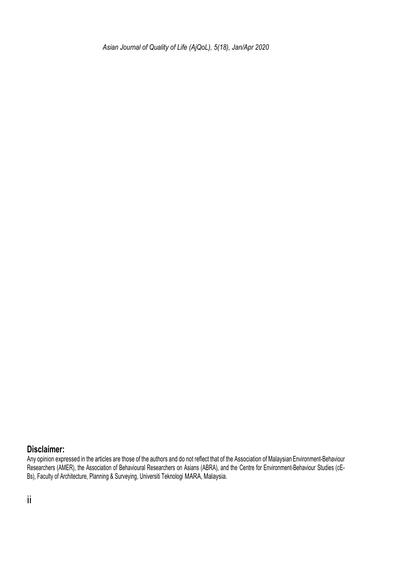*Asian Journal of Quality of Life (AjQoL), 5(18), Jan/Apr 2020*

#### **Disclaimer:**

Any opinion expressed in the articles are those of the authors and do not reflect that of the Association of MalaysianEnvironment-Behaviour Researchers (AMER), the Association of Behavioural Researchers on Asians (ABRA), and the Centre for Environment-Behaviour Studies (cE-Bs), Faculty of Architecture, Planning & Surveying, Universiti Teknologi MARA, Malaysia.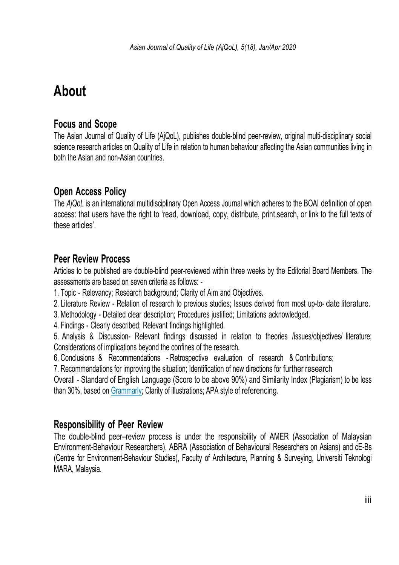# **About**

## **Focus and Scope**

The Asian Journal of Quality of Life (AjQoL), publishes double-blind peer-review, original multi-disciplinary social science research articles on Quality of Life in relation to human behaviour affecting the Asian communities living in both the Asian and non-Asian countries.

## **Open Access Policy**

The *AjQoL* is an international multidisciplinary Open Access Journal which adheres to the BOAI definition of open access: that users have the right to 'read, download, copy, distribute, print,search, or link to the full texts of these articles'.

## **Peer Review Process**

Articles to be published are double-blind peer-reviewed within three weeks by the Editorial Board Members. The assessments are based on seven criteria as follows: -

- 1. Topic Relevancy; Research background; Clarity of Aim and Objectives.
- 2. Literature Review Relation of research to previous studies; Issues derived from most up-to- date literature.
- 3. Methodology Detailed clear description; Procedures justified; Limitations acknowledged.
- 4. Findings Clearly described; Relevant findings highlighted.
- 5. Analysis & Discussion- Relevant findings discussed in relation to theories /issues/objectives/ literature; Considerations of implications beyond the confines of the research.
- 6. Conclusions & Recommendations Retrospective evaluation of research & Contributions;

7. Recommendations for improving the situation; Identification of new directions for further research

Overall - Standard of English Language (Score to be above 90%) and Similarity Index (Plagiarism) to be less than 30%, based on [Grammarly; C](https://www.grammarly.com/)larity of illustrations; APA style of referencing.

## **Responsibility of Peer Review**

The double-blind peer–review process is under the responsibility of AMER (Association of Malaysian Environment-Behaviour Researchers), ABRA (Association of Behavioural Researchers on Asians) and cE-Bs (Centre for Environment-Behaviour Studies), Faculty of Architecture, Planning & Surveying, Universiti Teknologi MARA, Malaysia.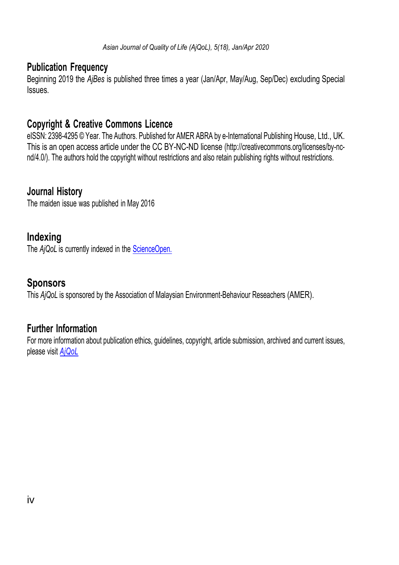### **Publication Frequency**

Beginning 2019 the *AjBes* is published three times a year (Jan/Apr, May/Aug, Sep/Dec) excluding Special **Issues** 

## **Copyright & Creative Commons Licence**

eISSN: 2398-4295 © Year. The Authors. Published for AMER ABRA by e-International Publishing House, Ltd., UK. This is an open access article under the CC BY-NC-ND license [\(http://creativecommons.org/licenses/by-nc](http://creativecommons.org/licenses/by-nc-nd/4.0/))[nd/4.0/\). T](http://creativecommons.org/licenses/by-nc-nd/4.0/))he authors hold the copyright without restrictions and also retain publishing rights without restrictions.

## **Journal History**

The maiden issue was published in May 2016

## **Indexing**

The *AjQoL* is currently indexed in the *ScienceOpen*.

## **Sponsors**

This *AjQoL* is sponsored by the Association of Malaysian Environment-Behaviour Reseachers (AMER).

## **Further Information**

For more information about publication ethics, guidelines, copyright, article submission, archived and current issues, please visit *[AjQoL](http://ajqol.e-iph.co.uk/index.php/ajqol/issue/archive)*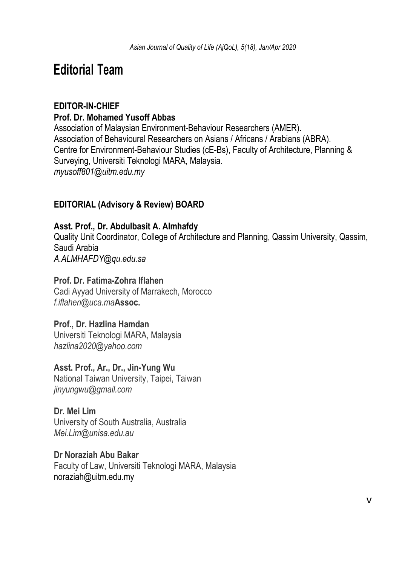## **Editorial Team**

#### **EDITOR-IN-CHIEF Prof. Dr. Mohamed Yusoff Abbas**

Association of Malaysian Environment-Behaviour Researchers (AMER). Association of Behavioural Researchers on Asians / Africans / Arabians (ABRA). Centre for Environment-Behaviour Studies (cE-Bs), Faculty of Architecture, Planning & Surveying, Universiti Teknologi MARA, Malaysia. *myusoff801@uitm.edu.my*

#### **EDITORIAL (Advisory & Review) BOARD**

#### **Asst. Prof., Dr. Abdulbasit A. Almhafdy**

Quality Unit Coordinator, College of Architecture and Planning, Qassim University, Qassim, Saudi Arabia *A.ALMHAFDY@qu.edu.sa*

#### **Prof. Dr. Fatima-Zohra Iflahen**

Cadi Ayyad University of Marrakech, Morocco *f.iflahen@uca.ma***Assoc.** 

#### **Prof., Dr. Hazlina Hamdan**

Universiti Teknologi MARA, Malaysia *hazlina2020@yahoo.com*

**Asst. Prof., Ar., Dr., Jin-Yung Wu** National Taiwan University, Taipei, Taiwan *jinyungwu@gmail.com*

#### **Dr. Mei Lim**

University of South Australia, Australia *Mei.Lim@unisa.edu.au*

#### **Dr Noraziah Abu Bakar**

Faculty of Law, Universiti Teknologi MARA, Malaysia noraziah@uitm.edu.my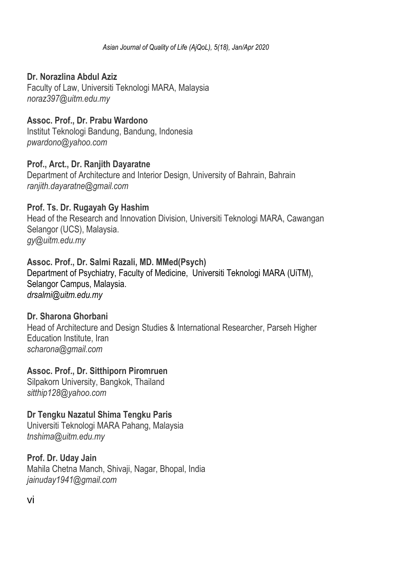#### **Dr. Norazlina Abdul Aziz**

Faculty of Law, Universiti Teknologi MARA, Malaysia *noraz397@uitm.edu.my*

#### **Assoc. Prof., Dr. Prabu Wardono**

Institut Teknologi Bandung, Bandung, Indonesia *pwardono@yahoo.com*

#### **Prof., Arct., Dr. Ranjith Dayaratne**

Department of Architecture and Interior Design, University of Bahrain, Bahrain *ranjith.dayaratne@gmail.com*

#### **Prof. Ts. Dr. Rugayah Gy Hashim**

Head of the Research and Innovation Division, Universiti Teknologi MARA, Cawangan Selangor (UCS), Malaysia. *gy@uitm.edu.my*

#### **Assoc. Prof., Dr. Salmi Razali, MD. MMed(Psych)**

Department of Psychiatry, Faculty of Medicine, Universiti Teknologi MARA (UiTM), Selangor Campus, Malaysia. *drsalmi@uitm.edu.my*

#### **Dr. Sharona Ghorbani**

Head of Architecture and Design Studies & International Researcher, Parseh Higher Education Institute, Iran *scharona@gmail.com*

#### **Assoc. Prof., Dr. Sitthiporn Piromruen**

Silpakorn University, Bangkok, Thailand *sitthip128@yahoo.com*

#### **Dr Tengku Nazatul Shima Tengku Paris**

Universiti Teknologi MARA Pahang, Malaysia *tnshima@uitm.edu.my*

## **Prof. Dr. Uday Jain**

Mahila Chetna Manch, Shivaji, Nagar, Bhopal, India *jainuday1941@gmail.com*

vi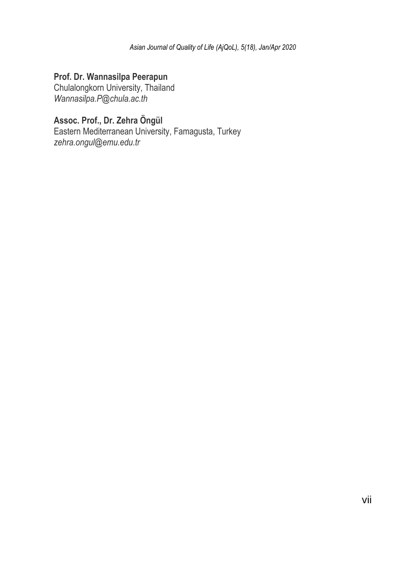#### **Prof. Dr. Wannasilpa Peerapun**

Chulalongkorn University, Thailand *Wannasilpa.P@chula.ac.th*

## **Assoc. Prof., Dr. Zehra Öngül**

Eastern Mediterranean University, Famagusta, Turkey *zehra.ongul@emu.edu.tr*